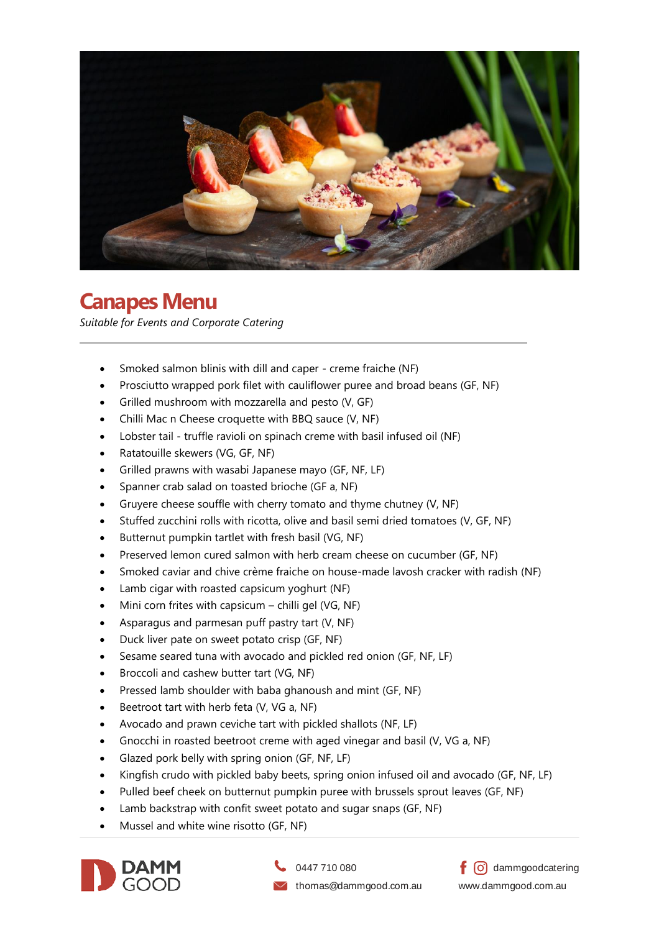

## **Canapes Menu**

*Suitable for Events and Corporate Catering*

- Smoked salmon blinis with dill and caper creme fraiche (NF)
- Prosciutto wrapped pork filet with cauliflower puree and broad beans (GF, NF)
- Grilled mushroom with mozzarella and pesto (V, GF)
- Chilli Mac n Cheese croquette with BBQ sauce (V, NF)
- Lobster tail truffle ravioli on spinach creme with basil infused oil (NF)
- Ratatouille skewers (VG, GF, NF)
- Grilled prawns with wasabi Japanese mayo (GF, NF, LF)
- Spanner crab salad on toasted brioche (GF a, NF)
- Gruyere cheese souffle with cherry tomato and thyme chutney (V, NF)
- Stuffed zucchini rolls with ricotta, olive and basil semi dried tomatoes (V, GF, NF)
- Butternut pumpkin tartlet with fresh basil (VG, NF)
- Preserved lemon cured salmon with herb cream cheese on cucumber (GF, NF)
- Smoked caviar and chive crème fraiche on house-made lavosh cracker with radish (NF)
- Lamb cigar with roasted capsicum yoghurt (NF)
- Mini corn frites with capsicum  $-$  chilli gel (VG, NF)
- Asparagus and parmesan puff pastry tart (V, NF)
- Duck liver pate on sweet potato crisp (GF, NF)
- Sesame seared tuna with avocado and pickled red onion (GF, NF, LF)
- Broccoli and cashew butter tart (VG, NF)
- Pressed lamb shoulder with baba ghanoush and mint (GF, NF)
- Beetroot tart with herb feta (V, VG a, NF)
- Avocado and prawn ceviche tart with pickled shallots (NF, LF)
- Gnocchi in roasted beetroot creme with aged vinegar and basil (V, VG a, NF)
- Glazed pork belly with spring onion (GF, NF, LF)
- Kingfish crudo with pickled baby beets, spring onion infused oil and avocado (GF, NF, LF)
- Pulled beef cheek on butternut pumpkin puree with brussels sprout leaves (GF, NF)
- Lamb backstrap with confit sweet potato and sugar snaps (GF, NF)
- Mussel and white wine risotto (GF, NF)



0447 710 080

 $\vee$  thomas@dammgood.com.au